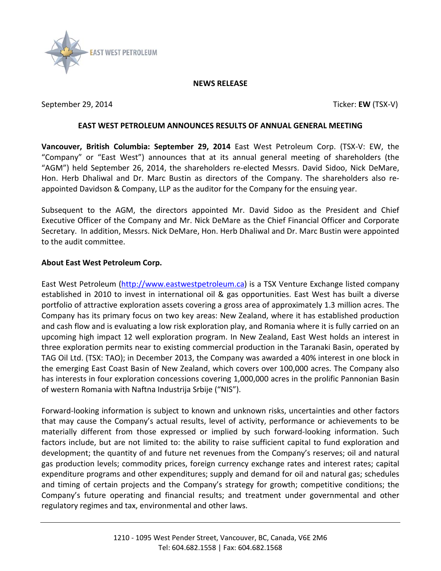

## **NEWS RELEASE**

September 29, 2014 **Ticker: EW** (TSX-V)

## **EAST WEST PETROLEUM ANNOUNCES RESULTS OF ANNUAL GENERAL MEETING**

**Vancouver, British Columbia: September 29, 2014** East West Petroleum Corp. (TSX-V: EW, the "Company" or "East West") announces that at its annual general meeting of shareholders (the "AGM") held September 26, 2014, the shareholders re-elected Messrs. David Sidoo, Nick DeMare, Hon. Herb Dhaliwal and Dr. Marc Bustin as directors of the Company. The shareholders also reappointed Davidson & Company, LLP as the auditor for the Company for the ensuing year.

Subsequent to the AGM, the directors appointed Mr. David Sidoo as the President and Chief Executive Officer of the Company and Mr. Nick DeMare as the Chief Financial Officer and Corporate Secretary. In addition, Messrs. Nick DeMare, Hon. Herb Dhaliwal and Dr. Marc Bustin were appointed to the audit committee.

## **About East West Petroleum Corp.**

East West Petroleum [\(http://www.eastwestpetroleum.ca\)](http://www.eastwestpetroleum.ca/) is a TSX Venture Exchange listed company established in 2010 to invest in international oil & gas opportunities. East West has built a diverse portfolio of attractive exploration assets covering a gross area of approximately 1.3 million acres. The Company has its primary focus on two key areas: New Zealand, where it has established production and cash flow and is evaluating a low risk exploration play, and Romania where it is fully carried on an upcoming high impact 12 well exploration program. In New Zealand, East West holds an interest in three exploration permits near to existing commercial production in the Taranaki Basin, operated by TAG Oil Ltd. (TSX: TAO); in December 2013, the Company was awarded a 40% interest in one block in the emerging East Coast Basin of New Zealand, which covers over 100,000 acres. The Company also has interests in four exploration concessions covering 1,000,000 acres in the prolific Pannonian Basin of western Romania with Naftna Industrija Srbije ("NIS").

Forward-looking information is subject to known and unknown risks, uncertainties and other factors that may cause the Company's actual results, level of activity, performance or achievements to be materially different from those expressed or implied by such forward-looking information. Such factors include, but are not limited to: the ability to raise sufficient capital to fund exploration and development; the quantity of and future net revenues from the Company's reserves; oil and natural gas production levels; commodity prices, foreign currency exchange rates and interest rates; capital expenditure programs and other expenditures; supply and demand for oil and natural gas; schedules and timing of certain projects and the Company's strategy for growth; competitive conditions; the Company's future operating and financial results; and treatment under governmental and other regulatory regimes and tax, environmental and other laws.